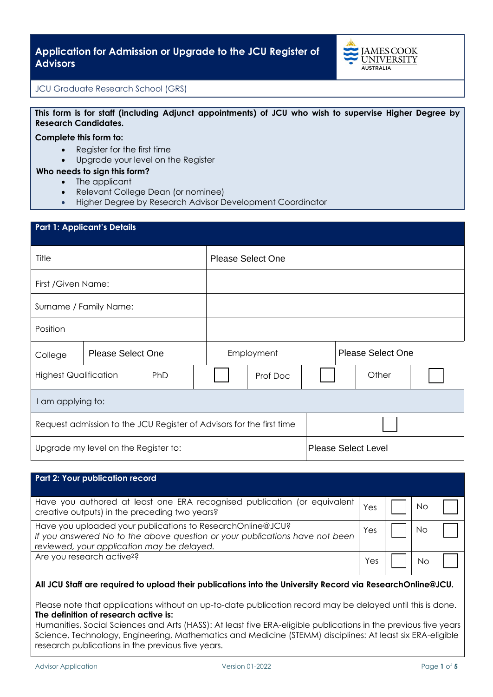

## JCU Graduate Research School (GRS)

## **This form is for staff (including Adjunct appointments) of JCU who wish to supervise Higher Degree by Research Candidates.**

#### **Complete this form to:**

- Register for the first time
- Upgrade your level on the Register

#### **Who needs to sign this form?**

- The applicant
- Relevant College Dean (or nominee)
- Higher Degree by Research Advisor Development Coordinator

| <b>Part 1: Applicant's Details</b>                                   |                          |  |                          |          |                          |  |                            |  |
|----------------------------------------------------------------------|--------------------------|--|--------------------------|----------|--------------------------|--|----------------------------|--|
| Title                                                                |                          |  | <b>Please Select One</b> |          |                          |  |                            |  |
| First / Given Name:                                                  |                          |  |                          |          |                          |  |                            |  |
| Surname / Family Name:                                               |                          |  |                          |          |                          |  |                            |  |
| Position                                                             |                          |  |                          |          |                          |  |                            |  |
| College                                                              | <b>Please Select One</b> |  | Employment               |          | <b>Please Select One</b> |  |                            |  |
| <b>Highest Qualification</b><br>PhD                                  |                          |  |                          | Prof Doc |                          |  | Other                      |  |
| I am applying to:                                                    |                          |  |                          |          |                          |  |                            |  |
| Request admission to the JCU Register of Advisors for the first time |                          |  |                          |          |                          |  |                            |  |
| Upgrade my level on the Register to:                                 |                          |  |                          |          |                          |  | <b>Please Select Level</b> |  |

| Part 2: Your publication record                                                                                                                                                         |     |    |  |
|-----------------------------------------------------------------------------------------------------------------------------------------------------------------------------------------|-----|----|--|
| Have you authored at least one ERA recognised publication (or equivalent<br>creative outputs) in the preceding two years?                                                               | Yes | Νo |  |
| Have you uploaded your publications to ResearchOnline@JCU?<br>If you answered No to the above question or your publications have not been<br>reviewed, your application may be delayed. | Yes | NΟ |  |
| Are you research active <sup>2</sup> ?                                                                                                                                                  | 'es | N٢ |  |

### **All JCU Staff are required to upload their publications into the University Record via ResearchOnline@JCU.**

Please note that applications without an up-to-date publication record may be delayed until this is done. **The definition of research active is:**

Humanities, Social Sciences and Arts (HASS): At least five ERA-eligible publications in the previous five years Science, Technology, Engineering, Mathematics and Medicine (STEMM) disciplines: At least six ERA-eligible research publications in the previous five years.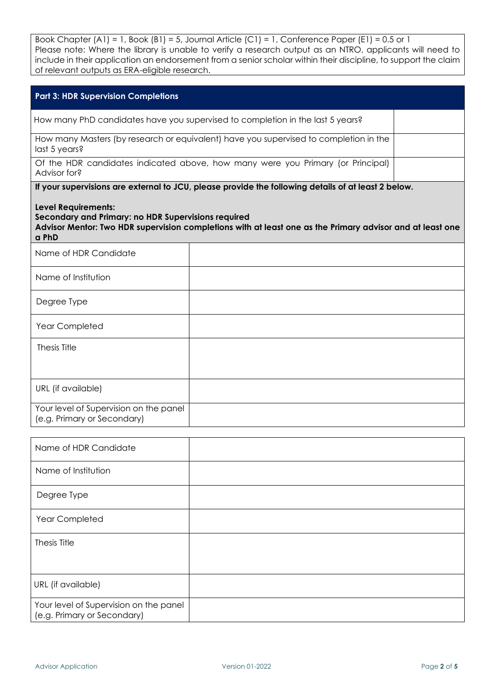Book Chapter (A1) = 1, Book (B1) = 5, Journal Article (C1) = 1, Conference Paper (E1) = 0.5 or 1 Please note: Where the library is unable to verify a research output as an NTRO, applicants will need to include in their application an endorsement from a senior scholar within their discipline, to support the claim of relevant outputs as ERA-eligible research.

| <b>Part 3: HDR Supervision Completions</b>                                                                                                                                                                                                                                                                     |                                                                                 |  |  |  |  |
|----------------------------------------------------------------------------------------------------------------------------------------------------------------------------------------------------------------------------------------------------------------------------------------------------------------|---------------------------------------------------------------------------------|--|--|--|--|
| How many PhD candidates have you supervised to completion in the last 5 years?                                                                                                                                                                                                                                 |                                                                                 |  |  |  |  |
| How many Masters (by research or equivalent) have you supervised to completion in the<br>last 5 years?                                                                                                                                                                                                         |                                                                                 |  |  |  |  |
| Advisor for?                                                                                                                                                                                                                                                                                                   | Of the HDR candidates indicated above, how many were you Primary (or Principal) |  |  |  |  |
| If your supervisions are external to JCU, please provide the following details of at least 2 below.<br><b>Level Requirements:</b><br>Secondary and Primary: no HDR Supervisions required<br>Advisor Mentor: Two HDR supervision completions with at least one as the Primary advisor and at least one<br>a PhD |                                                                                 |  |  |  |  |
| Name of HDR Candidate                                                                                                                                                                                                                                                                                          |                                                                                 |  |  |  |  |
| Name of Institution                                                                                                                                                                                                                                                                                            |                                                                                 |  |  |  |  |
| Degree Type                                                                                                                                                                                                                                                                                                    |                                                                                 |  |  |  |  |
| Year Completed                                                                                                                                                                                                                                                                                                 |                                                                                 |  |  |  |  |
| Thesis Title                                                                                                                                                                                                                                                                                                   |                                                                                 |  |  |  |  |
| URL (if available)                                                                                                                                                                                                                                                                                             |                                                                                 |  |  |  |  |
| Your level of Supervision on the panel<br>(e.g. Primary or Secondary)                                                                                                                                                                                                                                          |                                                                                 |  |  |  |  |

| Name of HDR Candidate                                                 |  |
|-----------------------------------------------------------------------|--|
| Name of Institution                                                   |  |
| Degree Type                                                           |  |
| Year Completed                                                        |  |
| Thesis Title                                                          |  |
|                                                                       |  |
| URL (if available)                                                    |  |
| Your level of Supervision on the panel<br>(e.g. Primary or Secondary) |  |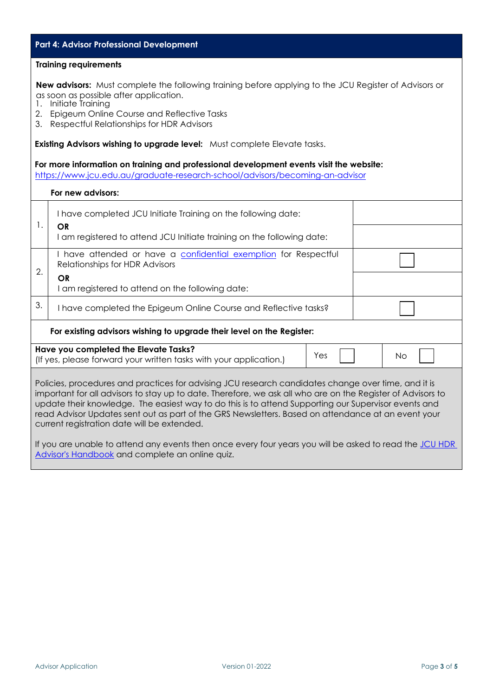# **Part 4: Advisor Professional Development Training requirements New advisors:** Must complete the following training before applying to the JCU Register of Advisors or as soon as possible after application. 1. Initiate Training 2. Epigeum Online Course and Reflective Tasks 3. Respectful Relationships for HDR Advisors **Existing Advisors wishing to upgrade level:** Must complete Elevate tasks. **For more information on training and professional development events visit the website:** htt[ps://www.jcu.edu.au/graduate-research-school/advisors/becoming-an-advisor](https://www.jcu.edu.au/graduate-research-school/advisors/becoming-an-advisor) **For new advisors:** 1. I have completed JCU Initiate Training on the following date: **OR** I am registered to attend JCU Initiate training on the following date: 2. I have attended or have a [confidential exemption](https://www.jcu.edu.au/safety-and-wellbeing/sexual-harassment-and-sexual-assault/sexual-misconduct-officers) for Respectful Relationships for HDR Advisors **OR** I am registered to attend on the following date: 3. I have completed the Epigeum Online Course and Reflective tasks? **For existing advisors wishing to upgrade their level on the Register: Have you completed the Elevate Tasks?**  The vector completed the elevate rasks.<br>(If yes, please forward your written tasks with your application.)  $\begin{bmatrix} \text{Yes} \\ \text{Yes} \end{bmatrix}$  No Policies, procedures and practices for advising JCU research candidates change over time, and it is important for all advisors to stay up to date. Therefore, we ask all who are on the Register of Advisors to update their knowledge. The easiest way to do this is to attend Supporting our Supervisor events and read Advisor Updates sent out as part of the GRS Newsletters. Based on attendance at an event your current registration date will be extended. If you are unable to attend any events then once every four years you will be asked to read the JCU HDR [Advisor's Handbook](https://www.jcu.edu.au/__data/assets/pdf_file/0005/637862/HDR-Advisor-Handbook-2021-as-at-December-2020.pdf) and complete an online quiz.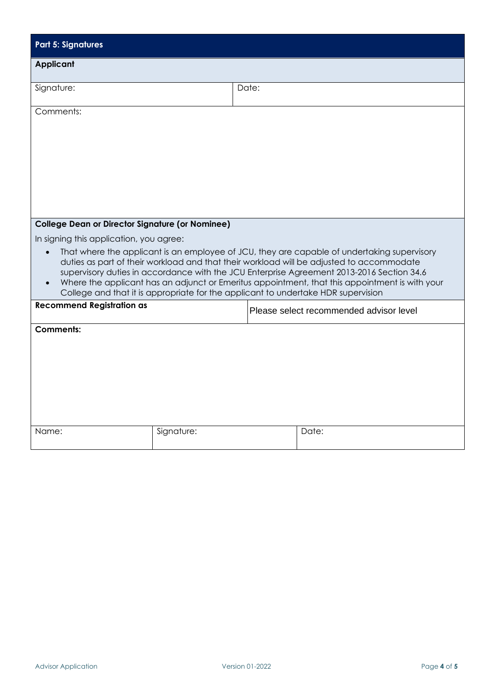| <b>Part 5: Signatures</b>                                                                                                                                                                                                                                                                                                                                                                                                                                                   |            |       |                                         |  |  |
|-----------------------------------------------------------------------------------------------------------------------------------------------------------------------------------------------------------------------------------------------------------------------------------------------------------------------------------------------------------------------------------------------------------------------------------------------------------------------------|------------|-------|-----------------------------------------|--|--|
| <b>Applicant</b>                                                                                                                                                                                                                                                                                                                                                                                                                                                            |            |       |                                         |  |  |
| Signature:                                                                                                                                                                                                                                                                                                                                                                                                                                                                  |            | Date: |                                         |  |  |
| Comments:                                                                                                                                                                                                                                                                                                                                                                                                                                                                   |            |       |                                         |  |  |
|                                                                                                                                                                                                                                                                                                                                                                                                                                                                             |            |       |                                         |  |  |
|                                                                                                                                                                                                                                                                                                                                                                                                                                                                             |            |       |                                         |  |  |
|                                                                                                                                                                                                                                                                                                                                                                                                                                                                             |            |       |                                         |  |  |
| <b>College Dean or Director Signature (or Nominee)</b>                                                                                                                                                                                                                                                                                                                                                                                                                      |            |       |                                         |  |  |
| In signing this application, you agree:                                                                                                                                                                                                                                                                                                                                                                                                                                     |            |       |                                         |  |  |
| That where the applicant is an employee of JCU, they are capable of undertaking supervisory<br>duties as part of their workload and that their workload will be adjusted to accommodate<br>supervisory duties in accordance with the JCU Enterprise Agreement 2013-2016 Section 34.6<br>Where the applicant has an adjunct or Emeritus appointment, that this appointment is with your<br>College and that it is appropriate for the applicant to undertake HDR supervision |            |       |                                         |  |  |
| <b>Recommend Registration as</b>                                                                                                                                                                                                                                                                                                                                                                                                                                            |            |       | Please select recommended advisor level |  |  |
| <b>Comments:</b>                                                                                                                                                                                                                                                                                                                                                                                                                                                            |            |       |                                         |  |  |
|                                                                                                                                                                                                                                                                                                                                                                                                                                                                             |            |       |                                         |  |  |
|                                                                                                                                                                                                                                                                                                                                                                                                                                                                             |            |       |                                         |  |  |
|                                                                                                                                                                                                                                                                                                                                                                                                                                                                             |            |       |                                         |  |  |
|                                                                                                                                                                                                                                                                                                                                                                                                                                                                             |            |       |                                         |  |  |
|                                                                                                                                                                                                                                                                                                                                                                                                                                                                             |            |       |                                         |  |  |
| Name:                                                                                                                                                                                                                                                                                                                                                                                                                                                                       | Signature: |       | Date:                                   |  |  |